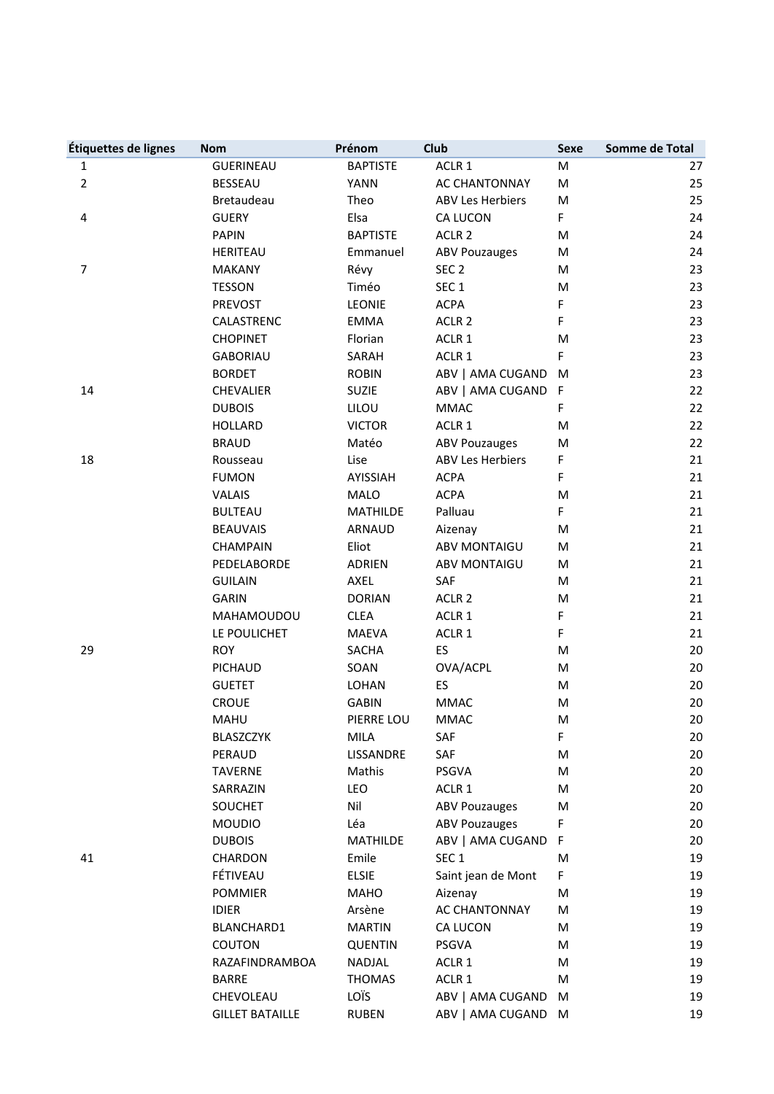| Étiquettes de lignes | <b>Nom</b>             | Prénom          | <b>Club</b>             | Sexe         | Somme de Total |
|----------------------|------------------------|-----------------|-------------------------|--------------|----------------|
| 1                    | <b>GUERINEAU</b>       | <b>BAPTISTE</b> | ACLR 1                  | M            | 27             |
| $\overline{2}$       | <b>BESSEAU</b>         | <b>YANN</b>     | <b>AC CHANTONNAY</b>    | M            | 25             |
|                      | Bretaudeau             | Theo            | <b>ABV Les Herbiers</b> | M            | 25             |
| 4                    | <b>GUERY</b>           | Elsa            | <b>CA LUCON</b>         | F            | 24             |
|                      | <b>PAPIN</b>           | <b>BAPTISTE</b> | ACLR <sub>2</sub>       | M            | 24             |
|                      | <b>HERITEAU</b>        | Emmanuel        | <b>ABV Pouzauges</b>    | M            | 24             |
| 7                    | <b>MAKANY</b>          | Révy            | SEC <sub>2</sub>        | M            | 23             |
|                      | <b>TESSON</b>          | Timéo           | SEC <sub>1</sub>        | M            | 23             |
|                      | PREVOST                | <b>LEONIE</b>   | <b>ACPA</b>             | F            | 23             |
|                      | CALASTRENC             | <b>EMMA</b>     | ACLR <sub>2</sub>       | F            | 23             |
|                      | <b>CHOPINET</b>        | Florian         | ACLR 1                  | M            | 23             |
|                      | <b>GABORIAU</b>        | SARAH           | ACLR 1                  | F            | 23             |
|                      | <b>BORDET</b>          | <b>ROBIN</b>    | ABV   AMA CUGAND        | M            | 23             |
| 14                   | <b>CHEVALIER</b>       | <b>SUZIE</b>    | ABV   AMA CUGAND        | $\mathsf{F}$ | 22             |
|                      | <b>DUBOIS</b>          | LILOU           | <b>MMAC</b>             | F            | 22             |
|                      | <b>HOLLARD</b>         | <b>VICTOR</b>   | ACLR 1                  | M            | 22             |
|                      | <b>BRAUD</b>           | Matéo           | <b>ABV Pouzauges</b>    | M            | 22             |
| 18                   | Rousseau               | Lise            | <b>ABV Les Herbiers</b> | F            | 21             |
|                      | <b>FUMON</b>           | <b>AYISSIAH</b> | <b>ACPA</b>             | F            | 21             |
|                      | <b>VALAIS</b>          | MALO            | <b>ACPA</b>             | M            | 21             |
|                      | <b>BULTEAU</b>         | <b>MATHILDE</b> | Palluau                 | F            | 21             |
|                      | <b>BEAUVAIS</b>        | ARNAUD          | Aizenay                 | M            | 21             |
|                      | <b>CHAMPAIN</b>        | Eliot           | <b>ABV MONTAIGU</b>     | M            | 21             |
|                      | PEDELABORDE            | <b>ADRIEN</b>   | <b>ABV MONTAIGU</b>     | M            | 21             |
|                      | <b>GUILAIN</b>         | AXEL            | SAF                     | M            | 21             |
|                      | <b>GARIN</b>           | <b>DORIAN</b>   | ACLR <sub>2</sub>       | M            | 21             |
|                      | MAHAMOUDOU             | <b>CLEA</b>     | ACLR 1                  | F            | 21             |
|                      | LE POULICHET           | <b>MAEVA</b>    | ACLR 1                  | F            | 21             |
| 29                   | <b>ROY</b>             | SACHA           | ES                      | M            | 20             |
|                      | PICHAUD                | SOAN            | OVA/ACPL                | M            | 20             |
|                      | <b>GUETET</b>          | LOHAN           | ES                      | M            | 20             |
|                      | <b>CROUE</b>           | <b>GABIN</b>    | <b>MMAC</b>             | M            | 20             |
|                      | MAHU                   | PIERRE LOU      | <b>MMAC</b>             | M            | 20             |
|                      | <b>BLASZCZYK</b>       | MILA            | SAF                     | F            | 20             |
|                      | PERAUD                 | LISSANDRE       | SAF                     | M            | 20             |
|                      | TAVERNE                | Mathis          | PSGVA                   | M            | 20             |
|                      | SARRAZIN               | LEO             | ACLR 1                  | M            | 20             |
|                      | SOUCHET                | Nil             | <b>ABV Pouzauges</b>    | M            | 20             |
|                      | <b>MOUDIO</b>          | Léa             | <b>ABV Pouzauges</b>    | F            | 20             |
|                      | <b>DUBOIS</b>          | <b>MATHILDE</b> | ABV   AMA CUGAND        | F            | 20             |
| 41                   | CHARDON                | Emile           | SEC <sub>1</sub>        | M            | 19             |
|                      | FÉTIVEAU               | <b>ELSIE</b>    | Saint jean de Mont      | F            | 19             |
|                      | <b>POMMIER</b>         | MAHO            | Aizenay                 | M            | 19             |
|                      | <b>IDIER</b>           | Arsène          | AC CHANTONNAY           | M            | 19             |
|                      | BLANCHARD1             | <b>MARTIN</b>   | CA LUCON                | M            | 19             |
|                      | COUTON                 | <b>QUENTIN</b>  | PSGVA                   | M            | 19             |
|                      | RAZAFINDRAMBOA         | NADJAL          | ACLR 1                  | M            | 19             |
|                      | <b>BARRE</b>           | <b>THOMAS</b>   | ACLR 1                  | M            | 19             |
|                      | CHEVOLEAU              | LOÏS            | ABV   AMA CUGAND        | M            | 19             |
|                      | <b>GILLET BATAILLE</b> | <b>RUBEN</b>    | ABV   AMA CUGAND M      |              | 19             |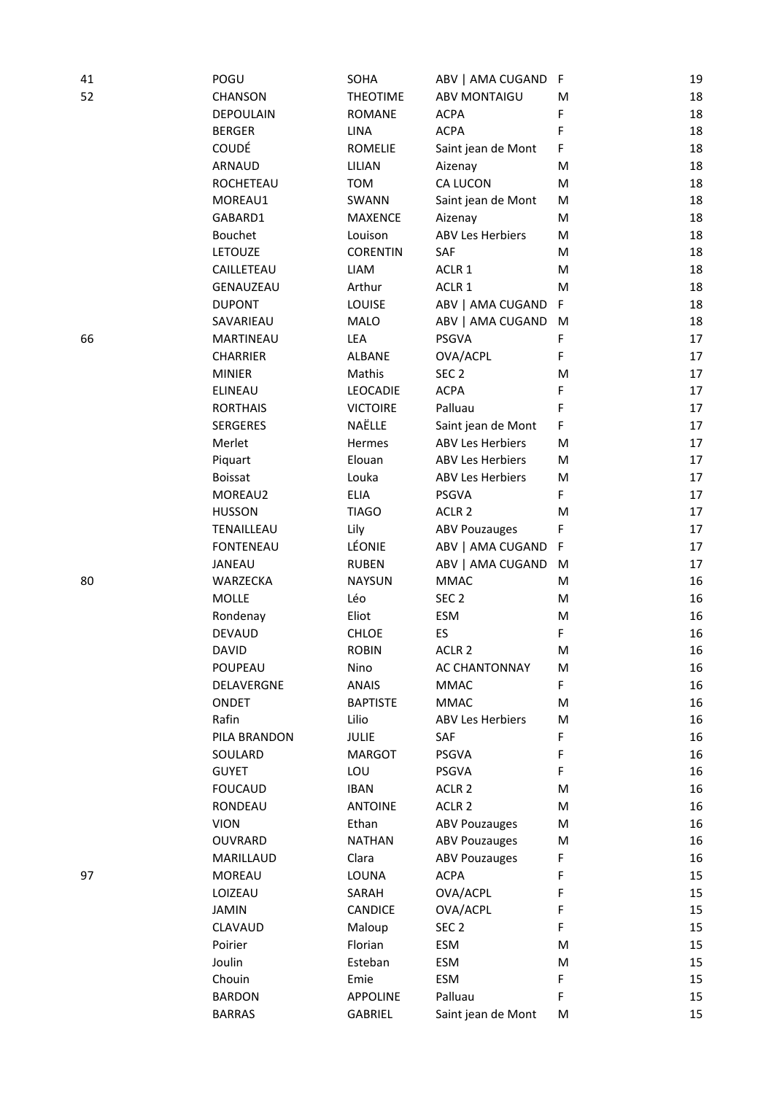| 41 | POGU             | SOHA            | ABV   AMA CUGAND F      |   | 19 |
|----|------------------|-----------------|-------------------------|---|----|
| 52 | CHANSON          | <b>THEOTIME</b> | <b>ABV MONTAIGU</b>     | M | 18 |
|    | <b>DEPOULAIN</b> | <b>ROMANE</b>   | <b>ACPA</b>             | F | 18 |
|    | <b>BERGER</b>    | LINA            | <b>ACPA</b>             | F | 18 |
|    | COUDÉ            | <b>ROMELIE</b>  | Saint jean de Mont      | F | 18 |
|    | ARNAUD           | LILIAN          | Aizenay                 | M | 18 |
|    | ROCHETEAU        | <b>TOM</b>      | CA LUCON                | M | 18 |
|    | MOREAU1          | SWANN           | Saint jean de Mont      | M | 18 |
|    | GABARD1          | MAXENCE         | Aizenay                 | M | 18 |
|    | Bouchet          | Louison         | <b>ABV Les Herbiers</b> | M | 18 |
|    | LETOUZE          | <b>CORENTIN</b> | SAF                     | M | 18 |
|    | CAILLETEAU       | LIAM            | ACLR 1                  | M | 18 |
|    | GENAUZEAU        | Arthur          | ACLR 1                  | M | 18 |
|    | <b>DUPONT</b>    | LOUISE          | ABV   AMA CUGAND        | F | 18 |
|    | SAVARIEAU        | MALO            | ABV   AMA CUGAND        | M | 18 |
| 66 | MARTINEAU        | LEA             | PSGVA                   | F | 17 |
|    | <b>CHARRIER</b>  | ALBANE          | OVA/ACPL                | F | 17 |
|    | <b>MINIER</b>    | Mathis          | SEC <sub>2</sub>        | M | 17 |
|    | <b>ELINEAU</b>   | LEOCADIE        | <b>ACPA</b>             | F | 17 |
|    | <b>RORTHAIS</b>  | <b>VICTOIRE</b> | Palluau                 | F | 17 |
|    | <b>SERGERES</b>  | NAËLLE          | Saint jean de Mont      | F | 17 |
|    | Merlet           | Hermes          | <b>ABV Les Herbiers</b> | M | 17 |
|    | Piquart          | Elouan          | <b>ABV Les Herbiers</b> | M | 17 |
|    | <b>Boissat</b>   | Louka           | <b>ABV Les Herbiers</b> | M | 17 |
|    | MOREAU2          | <b>ELIA</b>     | <b>PSGVA</b>            | F | 17 |
|    | <b>HUSSON</b>    | <b>TIAGO</b>    | ACLR <sub>2</sub>       | M | 17 |
|    | TENAILLEAU       | Lily            | <b>ABV Pouzauges</b>    | F | 17 |
|    | <b>FONTENEAU</b> | LÉONIE          | ABV   AMA CUGAND        | F | 17 |
|    | JANEAU           | <b>RUBEN</b>    | ABV   AMA CUGAND        | M | 17 |
| 80 | WARZECKA         | <b>NAYSUN</b>   | <b>MMAC</b>             | M | 16 |
|    | <b>MOLLE</b>     | Léo             | SEC <sub>2</sub>        | M | 16 |
|    | Rondenay         | Eliot           | ESM                     | M | 16 |
|    | <b>DEVAUD</b>    | CHLOE           | ES                      | F | 16 |
|    | <b>DAVID</b>     | <b>ROBIN</b>    | ACLR <sub>2</sub>       | M | 16 |
|    | POUPEAU          | Nino            | AC CHANTONNAY           | M | 16 |
|    | DELAVERGNE       | <b>ANAIS</b>    | <b>MMAC</b>             | F | 16 |
|    | ONDET            | <b>BAPTISTE</b> | <b>MMAC</b>             | M | 16 |
|    | Rafin            | Lilio           | <b>ABV Les Herbiers</b> | M | 16 |
|    | PILA BRANDON     | <b>JULIE</b>    | SAF                     | F | 16 |
|    | SOULARD          | <b>MARGOT</b>   | PSGVA                   | F | 16 |
|    | <b>GUYET</b>     | LOU             | PSGVA                   | F | 16 |
|    | <b>FOUCAUD</b>   | <b>IBAN</b>     | ACLR <sub>2</sub>       | M | 16 |
|    | RONDEAU          | <b>ANTOINE</b>  | ACLR <sub>2</sub>       | M | 16 |
|    | <b>VION</b>      | Ethan           | <b>ABV Pouzauges</b>    | M | 16 |
|    | OUVRARD          | <b>NATHAN</b>   | <b>ABV Pouzauges</b>    | M | 16 |
|    | MARILLAUD        | Clara           | <b>ABV Pouzauges</b>    | F | 16 |
| 97 | <b>MOREAU</b>    | LOUNA           | <b>ACPA</b>             | F | 15 |
|    | LOIZEAU          | SARAH           | OVA/ACPL                | F | 15 |
|    | <b>JAMIN</b>     | <b>CANDICE</b>  | OVA/ACPL                | F | 15 |
|    | CLAVAUD          | Maloup          | SEC <sub>2</sub>        | F | 15 |
|    | Poirier          | Florian         | <b>ESM</b>              | M | 15 |
|    | Joulin           | Esteban         | ESM                     | M | 15 |
|    | Chouin           | Emie            | ESM                     | F | 15 |
|    | <b>BARDON</b>    | <b>APPOLINE</b> | Palluau                 | F | 15 |
|    | <b>BARRAS</b>    | GABRIEL         | Saint jean de Mont      | M | 15 |
|    |                  |                 |                         |   |    |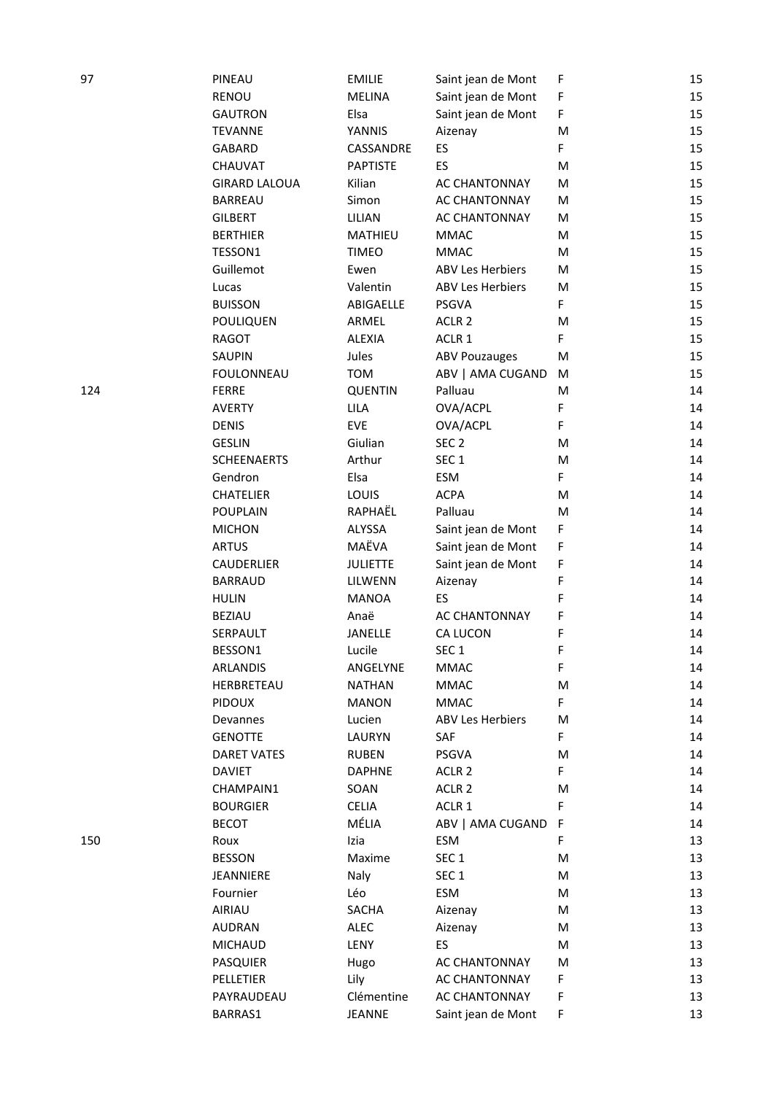| 97  | PINEAU               | <b>EMILIE</b>   | Saint jean de Mont      | F | 15 |
|-----|----------------------|-----------------|-------------------------|---|----|
|     | <b>RENOU</b>         | <b>MELINA</b>   | Saint jean de Mont      | F | 15 |
|     | <b>GAUTRON</b>       | Elsa            | Saint jean de Mont      | F | 15 |
|     | <b>TEVANNE</b>       | YANNIS          | Aizenay                 | M | 15 |
|     | <b>GABARD</b>        | CASSANDRE       | ES                      | F | 15 |
|     | <b>CHAUVAT</b>       | <b>PAPTISTE</b> | ES                      | M | 15 |
|     | <b>GIRARD LALOUA</b> | Kilian          | AC CHANTONNAY           | M | 15 |
|     | <b>BARREAU</b>       | Simon           | AC CHANTONNAY           | M | 15 |
|     | <b>GILBERT</b>       | LILIAN          | <b>AC CHANTONNAY</b>    | M | 15 |
|     | <b>BERTHIER</b>      | MATHIEU         | <b>MMAC</b>             | M | 15 |
|     | TESSON1              | <b>TIMEO</b>    | <b>MMAC</b>             | M | 15 |
|     | Guillemot            | Ewen            | <b>ABV Les Herbiers</b> | M | 15 |
|     | Lucas                | Valentin        | <b>ABV Les Herbiers</b> | M | 15 |
|     | <b>BUISSON</b>       | ABIGAELLE       | PSGVA                   | F | 15 |
|     | POULIQUEN            | ARMEL           | ACLR <sub>2</sub>       | M | 15 |
|     | <b>RAGOT</b>         | <b>ALEXIA</b>   | ACLR 1                  | F | 15 |
|     | <b>SAUPIN</b>        | Jules           | <b>ABV Pouzauges</b>    | M | 15 |
|     | <b>FOULONNEAU</b>    | <b>TOM</b>      | ABV   AMA CUGAND        | M | 15 |
| 124 | <b>FERRE</b>         | <b>QUENTIN</b>  | Palluau                 | M | 14 |
|     | <b>AVERTY</b>        | LILA            | OVA/ACPL                | F | 14 |
|     | <b>DENIS</b>         | <b>EVE</b>      | OVA/ACPL                | F | 14 |
|     | <b>GESLIN</b>        | Giulian         | SEC <sub>2</sub>        | M | 14 |
|     | <b>SCHEENAERTS</b>   | Arthur          | SEC <sub>1</sub>        | M | 14 |
|     | Gendron              | Elsa            | ESM                     | F | 14 |
|     | <b>CHATELIER</b>     | LOUIS           | <b>ACPA</b>             | M | 14 |
|     | <b>POUPLAIN</b>      | RAPHAËL         | Palluau                 | M | 14 |
|     | <b>MICHON</b>        | ALYSSA          | Saint jean de Mont      | F | 14 |
|     | <b>ARTUS</b>         | MAËVA           | Saint jean de Mont      | F | 14 |
|     | CAUDERLIER           | <b>JULIETTE</b> | Saint jean de Mont      | F | 14 |
|     | <b>BARRAUD</b>       | LILWENN         | Aizenay                 | F | 14 |
|     | <b>HULIN</b>         | <b>MANOA</b>    | ES                      | F | 14 |
|     | <b>BEZIAU</b>        | Anaë            | AC CHANTONNAY           | F | 14 |
|     | SERPAULT             | <b>JANELLE</b>  | CA LUCON                | F | 14 |
|     | BESSON1              | Lucile          | SEC <sub>1</sub>        | F | 14 |
|     | ARLANDIS             | ANGELYNE        | <b>MMAC</b>             | F | 14 |
|     | HERBRETEAU           | <b>NATHAN</b>   | <b>MMAC</b>             | M | 14 |
|     | <b>PIDOUX</b>        | <b>MANON</b>    | <b>MMAC</b>             | F | 14 |
|     | Devannes             | Lucien          | <b>ABV Les Herbiers</b> | M | 14 |
|     | <b>GENOTTE</b>       | LAURYN          | SAF                     | F | 14 |
|     | <b>DARET VATES</b>   | <b>RUBEN</b>    | PSGVA                   | M | 14 |
|     | <b>DAVIET</b>        | <b>DAPHNE</b>   | ACLR <sub>2</sub>       | F | 14 |
|     | CHAMPAIN1            | SOAN            | ACLR <sub>2</sub>       | M | 14 |
|     | <b>BOURGIER</b>      | <b>CELIA</b>    | ACLR 1                  | F | 14 |
|     | <b>BECOT</b>         | MÉLIA           | ABV   AMA CUGAND        | F | 14 |
| 150 | Roux                 | Izia            | ESM                     | F | 13 |
|     | <b>BESSON</b>        | Maxime          | SEC <sub>1</sub>        | M | 13 |
|     | JEANNIERE            | Naly            | SEC <sub>1</sub>        | M | 13 |
|     | Fournier             | Léo             | ESM                     | M | 13 |
|     | AIRIAU               | SACHA           | Aizenay                 | M | 13 |
|     | <b>AUDRAN</b>        | ALEC            | Aizenay                 | M | 13 |
|     | <b>MICHAUD</b>       | LENY            | ES                      | M | 13 |
|     | <b>PASQUIER</b>      | Hugo            | AC CHANTONNAY           | M | 13 |
|     | PELLETIER            | Lily            | AC CHANTONNAY           | F | 13 |
|     | PAYRAUDEAU           | Clémentine      | AC CHANTONNAY           | F | 13 |
|     | BARRAS1              | JEANNE          | Saint jean de Mont      | F | 13 |
|     |                      |                 |                         |   |    |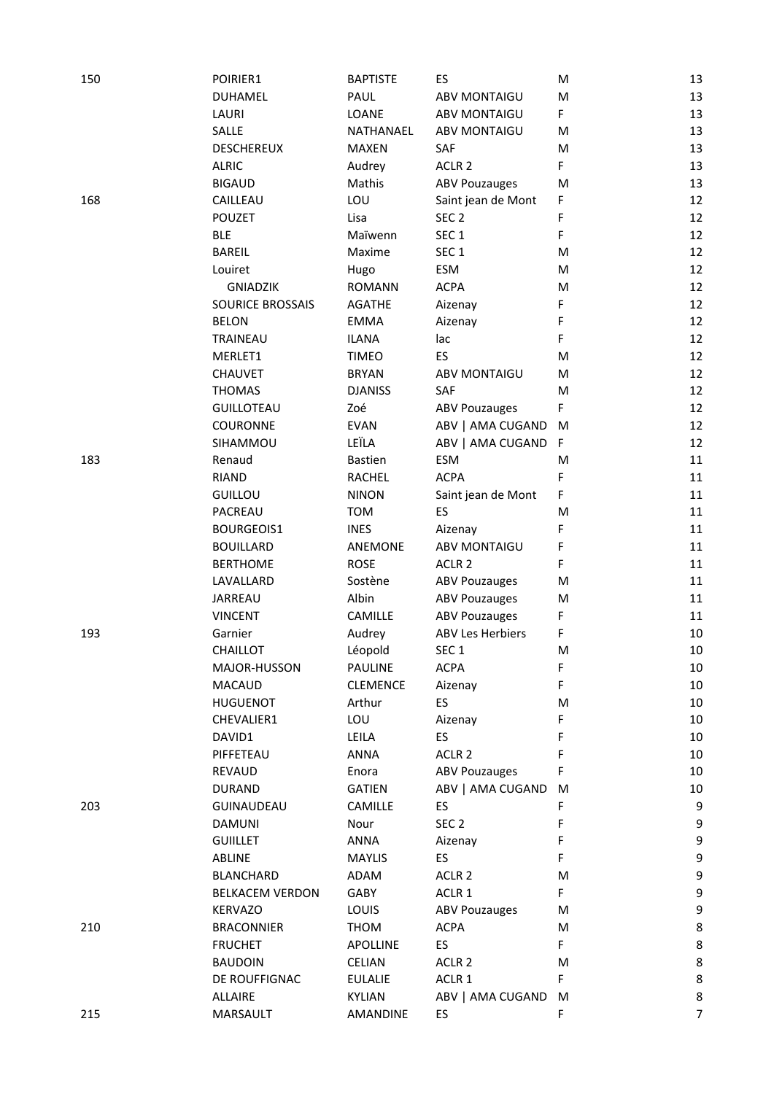| 150 | POIRIER1                | <b>BAPTISTE</b> | ES                      | M         | 13       |
|-----|-------------------------|-----------------|-------------------------|-----------|----------|
|     | <b>DUHAMEL</b>          | PAUL            | <b>ABV MONTAIGU</b>     | ${\sf M}$ | 13       |
|     | LAURI                   | LOANE           | <b>ABV MONTAIGU</b>     | F         | 13       |
|     | SALLE                   | NATHANAEL       | <b>ABV MONTAIGU</b>     | M         | 13       |
|     | <b>DESCHEREUX</b>       | <b>MAXEN</b>    | SAF                     | M         | 13       |
|     | <b>ALRIC</b>            | Audrey          | ACLR <sub>2</sub>       | F         | 13       |
|     | <b>BIGAUD</b>           | Mathis          | <b>ABV Pouzauges</b>    | M         | 13       |
| 168 | CAILLEAU                | LOU             | Saint jean de Mont      | F         | 12       |
|     | <b>POUZET</b>           | Lisa            | SEC <sub>2</sub>        | F         | 12       |
|     | <b>BLE</b>              | Maïwenn         | SEC <sub>1</sub>        | F         | 12       |
|     | <b>BAREIL</b>           |                 |                         |           | 12       |
|     |                         | Maxime          | SEC <sub>1</sub>        | M         |          |
|     | Louiret                 | Hugo            | ESM                     | M         | 12<br>12 |
|     | <b>GNIADZIK</b>         | <b>ROMANN</b>   | <b>ACPA</b>             | M         |          |
|     | <b>SOURICE BROSSAIS</b> | AGATHE          | Aizenay                 | F         | 12       |
|     | <b>BELON</b>            | <b>EMMA</b>     | Aizenay                 | F         | 12       |
|     | TRAINEAU                | <b>ILANA</b>    | lac                     | F         | 12       |
|     | MERLET1                 | <b>TIMEO</b>    | ES                      | M         | 12       |
|     | <b>CHAUVET</b>          | <b>BRYAN</b>    | <b>ABV MONTAIGU</b>     | M         | 12       |
|     | <b>THOMAS</b>           | <b>DJANISS</b>  | SAF                     | M         | 12       |
|     | <b>GUILLOTEAU</b>       | Zoé             | <b>ABV Pouzauges</b>    | F         | 12       |
|     | COURONNE                | <b>EVAN</b>     | ABV   AMA CUGAND        | M         | 12       |
|     | SIHAMMOU                | LEÏLA           | ABV   AMA CUGAND        | -F        | 12       |
| 183 | Renaud                  | Bastien         | ESM                     | M         | 11       |
|     | <b>RIAND</b>            | <b>RACHEL</b>   | <b>ACPA</b>             | F         | 11       |
|     | <b>GUILLOU</b>          | <b>NINON</b>    | Saint jean de Mont      | F         | 11       |
|     | PACREAU                 | <b>TOM</b>      | ES                      | M         | 11       |
|     | BOURGEOIS1              | <b>INES</b>     | Aizenay                 | F         | 11       |
|     | <b>BOUILLARD</b>        | ANEMONE         | <b>ABV MONTAIGU</b>     | F         | 11       |
|     | <b>BERTHOME</b>         | <b>ROSE</b>     | ACLR <sub>2</sub>       | F         | 11       |
|     | LAVALLARD               | Sostène         | <b>ABV Pouzauges</b>    | M         | 11       |
|     | JARREAU                 | Albin           | <b>ABV Pouzauges</b>    | M         | 11       |
|     | <b>VINCENT</b>          | CAMILLE         | <b>ABV Pouzauges</b>    | F         | 11       |
| 193 | Garnier                 | Audrey          | <b>ABV Les Herbiers</b> | F         | 10       |
|     | <b>CHAILLOT</b>         | Léopold         | SEC 1                   | M         | 10       |
|     | MAJOR-HUSSON            | PAULINE         | <b>ACPA</b>             | F         | 10       |
|     | MACAUD                  | <b>CLEMENCE</b> | Aizenay                 | F         | 10       |
|     | <b>HUGUENOT</b>         | Arthur          | ES                      | M         | 10       |
|     | CHEVALIER1              | LOU             | Aizenay                 | F         | 10       |
|     | DAVID1                  | LEILA           | ES.                     | F         | 10       |
|     | PIFFETEAU               | ANNA            | ACLR <sub>2</sub>       | F         | 10       |
|     | REVAUD                  | Enora           | <b>ABV Pouzauges</b>    | F         | 10       |
|     | <b>DURAND</b>           | <b>GATIEN</b>   | ABV   AMA CUGAND        | M         | 10       |
| 203 | GUINAUDEAU              | CAMILLE         | ES.                     | F         | 9        |
|     | DAMUNI                  | Nour            | SEC <sub>2</sub>        | F         | 9        |
|     | <b>GUIILLET</b>         | ANNA            | Aizenay                 | F         | 9        |
|     | ABLINE                  | <b>MAYLIS</b>   | ES                      | F         | 9        |
|     | BLANCHARD               | ADAM            | ACLR 2                  | M         | 9        |
|     | <b>BELKACEM VERDON</b>  | GABY            | ACLR 1                  | F         | 9        |
|     | KERVAZO                 | LOUIS           | <b>ABV Pouzauges</b>    | M         | 9        |
| 210 | <b>BRACONNIER</b>       | THOM            | <b>ACPA</b>             | M         | 8        |
|     | <b>FRUCHET</b>          | APOLLINE        | ES.                     | F.        | 8        |
|     | <b>BAUDOIN</b>          | CELIAN          | ACLR 2                  | M         | 8        |
|     | DE ROUFFIGNAC           | <b>EULALIE</b>  | ACLR 1                  | F         | 8        |
|     | ALLAIRE                 | KYLIAN          | ABV   AMA CUGAND M      |           | 8        |
| 215 | MARSAULT                | AMANDINE        | ES                      | F         | 7        |
|     |                         |                 |                         |           |          |